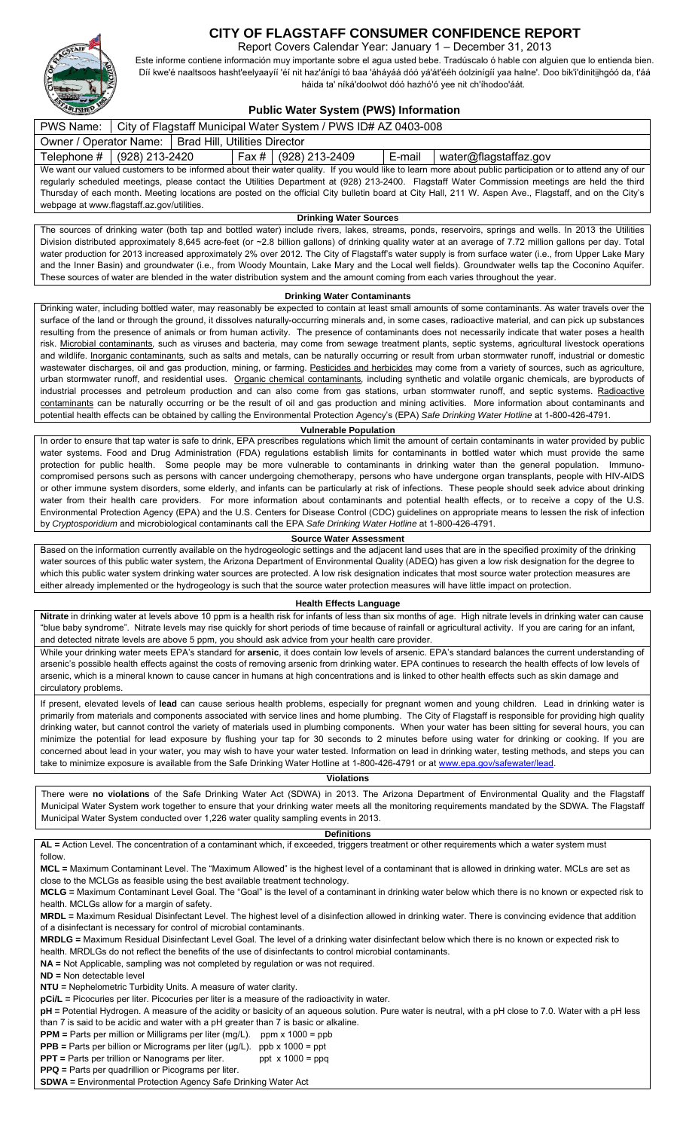

# **CITY OF FLAGSTAFF CONSUMER CONFIDENCE REPORT**

Report Covers Calendar Year: January 1 – December 31, 2013

Este informe contiene información muy importante sobre el agua usted bebe. Tradúscalo ó hable con alguien que lo entienda bien. Díí kwe'é naaltsoos hasht'eelyaayíí 'éí nit haz'ánígi tó baa 'áháyáá dóó yá'át'ééh óolzinígíí yaa halne'. Doo bik'i'dinitịịhgóó da, t'áá háida ta' níká'doolwot dóó hazhó'ó yee nit ch'íhodoo'áát.

# **Public Water System (PWS) Information**

| PWS Name:   City of Flagstaff Municipal Water System / PWS ID# AZ 0403-008                                                                                |                              |  |  |                        |          |                               |  |  |  |  |  |
|-----------------------------------------------------------------------------------------------------------------------------------------------------------|------------------------------|--|--|------------------------|----------|-------------------------------|--|--|--|--|--|
| Owner / Operator Name:   Brad Hill, Utilities Director                                                                                                    |                              |  |  |                        |          |                               |  |  |  |  |  |
|                                                                                                                                                           | Telephone #   (928) 213-2420 |  |  | Fax #   (928) 213-2409 | E-mail l | $\vert$ water@flagstaffaz.gov |  |  |  |  |  |
| We want our valued customers to be informed about their water quality. If you would like to learn more about public participation or to attend any of our |                              |  |  |                        |          |                               |  |  |  |  |  |
| regularly scheduled meetings, please contact the Utilities Department at (928) 213-2400. Flagstaff Water Commission meetings are held the third           |                              |  |  |                        |          |                               |  |  |  |  |  |
| Thursday of each month. Meeting locations are posted on the official City bulletin board at City Hall, 211 W. Aspen Ave., Flagstaff, and on the City's    |                              |  |  |                        |          |                               |  |  |  |  |  |
| webpage at www.flagstaff.az.gov/utilities.                                                                                                                |                              |  |  |                        |          |                               |  |  |  |  |  |

**Drinking Water Sources** 

The sources of drinking water (both tap and bottled water) include rivers, lakes, streams, ponds, reservoirs, springs and wells. In 2013 the Utilities Division distributed approximately 8,645 acre-feet (or ~2.8 billion gallons) of drinking quality water at an average of 7.72 million gallons per day. Total water production for 2013 increased approximately 2% over 2012. The City of Flagstaff's water supply is from surface water (i.e., from Upper Lake Mary and the Inner Basin) and groundwater (i.e., from Woody Mountain, Lake Mary and the Local well fields). Groundwater wells tap the Coconino Aquifer. These sources of water are blended in the water distribution system and the amount coming from each varies throughout the year.

#### **Drinking Water Contaminants**

Drinking water, including bottled water, may reasonably be expected to contain at least small amounts of some contaminants. As water travels over the surface of the land or through the ground, it dissolves naturally-occurring minerals and, in some cases, radioactive material, and can pick up substances resulting from the presence of animals or from human activity. The presence of contaminants does not necessarily indicate that water poses a health risk. Microbial contaminants*,* such as viruses and bacteria, may come from sewage treatment plants, septic systems, agricultural livestock operations and wildlife. Inorganic contaminants*,* such as salts and metals, can be naturally occurring or result from urban stormwater runoff, industrial or domestic wastewater discharges, oil and gas production, mining, or farming. Pesticides and herbicides may come from a variety of sources, such as agriculture, urban stormwater runoff, and residential uses. Organic chemical contaminants*,* including synthetic and volatile organic chemicals, are byproducts of industrial processes and petroleum production and can also come from gas stations, urban stormwater runoff, and septic systems. Radioactive contaminants can be naturally occurring or be the result of oil and gas production and mining activities. More information about contaminants and potential health effects can be obtained by calling the Environmental Protection Agency's (EPA) *Safe Drinking Water Hotline* at 1-800-426-4791.

#### **Vulnerable Population**

In order to ensure that tap water is safe to drink, EPA prescribes regulations which limit the amount of certain contaminants in water provided by public water systems. Food and Drug Administration (FDA) regulations establish limits for contaminants in bottled water which must provide the same protection for public health. Some people may be more vulnerable to contaminants in drinking water than the general population. Immunocompromised persons such as persons with cancer undergoing chemotherapy, persons who have undergone organ transplants, people with HIV-AIDS or other immune system disorders, some elderly, and infants can be particularly at risk of infections. These people should seek advice about drinking water from their health care providers. For more information about contaminants and potential health effects, or to receive a copy of the U.S. Environmental Protection Agency (EPA) and the U.S. Centers for Disease Control (CDC) guidelines on appropriate means to lessen the risk of infection by *Cryptosporidium* and microbiological contaminants call the EPA *Safe Drinking Water Hotline* at 1-800-426-4791.

#### **Source Water Assessment**

Based on the information currently available on the hydrogeologic settings and the adjacent land uses that are in the specified proximity of the drinking water sources of this public water system, the Arizona Department of Environmental Quality (ADEQ) has given a low risk designation for the degree to which this public water system drinking water sources are protected. A low risk designation indicates that most source water protection measures are either already implemented or the hydrogeology is such that the source water protection measures will have little impact on protection.

# **Health Effects Language**

**Nitrate** in drinking water at levels above 10 ppm is a health risk for infants of less than six months of age. High nitrate levels in drinking water can cause "blue baby syndrome". Nitrate levels may rise quickly for short periods of time because of rainfall or agricultural activity. If you are caring for an infant, and detected nitrate levels are above 5 ppm, you should ask advice from your health care provider.

While your drinking water meets EPA's standard for **arsenic**, it does contain low levels of arsenic. EPA's standard balances the current understanding of arsenic's possible health effects against the costs of removing arsenic from drinking water. EPA continues to research the health effects of low levels of arsenic, which is a mineral known to cause cancer in humans at high concentrations and is linked to other health effects such as skin damage and circulatory problems.

If present, elevated levels of **lead** can cause serious health problems, especially for pregnant women and young children. Lead in drinking water is primarily from materials and components associated with service lines and home plumbing. The City of Flagstaff is responsible for providing high quality drinking water, but cannot control the variety of materials used in plumbing components. When your water has been sitting for several hours, you can minimize the potential for lead exposure by flushing your tap for 30 seconds to 2 minutes before using water for drinking or cooking. If you are concerned about lead in your water, you may wish to have your water tested. Information on lead in drinking water, testing methods, and steps you can take to minimize exposure is available from the Safe Drinking Water Hotline at 1-800-426-4791 or at www.epa.gov/safewater/lead.

## **Violations**

There were **no violations** of the Safe Drinking Water Act (SDWA) in 2013. The Arizona Department of Environmental Quality and the Flagstaff Municipal Water System work together to ensure that your drinking water meets all the monitoring requirements mandated by the SDWA. The Flagstaff Municipal Water System conducted over 1,226 water quality sampling events in 2013.

### **Definitions AL =** Action Level. The concentration of a contaminant which, if exceeded, triggers treatment or other requirements which a water system must follow. **MCL =** Maximum Contaminant Level. The "Maximum Allowed" is the highest level of a contaminant that is allowed in drinking water. MCLs are set as close to the MCLGs as feasible using the best available treatment technology. **MCLG =** Maximum Contaminant Level Goal. The "Goal" is the level of a contaminant in drinking water below which there is no known or expected risk to health. MCLGs allow for a margin of safety. **MRDL =** Maximum Residual Disinfectant Level. The highest level of a disinfection allowed in drinking water. There is convincing evidence that addition of a disinfectant is necessary for control of microbial contaminants. **MRDLG =** Maximum Residual Disinfectant Level Goal. The level of a drinking water disinfectant below which there is no known or expected risk to health. MRDLGs do not reflect the benefits of the use of disinfectants to control microbial contaminants. **NA =** Not Applicable, sampling was not completed by regulation or was not required. **ND =** Non detectable level **NTU =** Nephelometric Turbidity Units. A measure of water clarity. **pCi/L =** Picocuries per liter. Picocuries per liter is a measure of the radioactivity in water. **pH =** Potential Hydrogen. A measure of the acidity or basicity of an aqueous solution. Pure water is neutral, with a pH close to 7.0. Water with a pH less than 7 is said to be acidic and water with a pH greater than 7 is basic or alkaline. **PPM** = Parts per million or Milligrams per liter (mg/L). ppm x 1000 = ppb **PPB** = Parts per billion or Micrograms per liter (µg/L). ppb x 1000 = ppt

**PPT** = Parts per trillion or Nanograms per liter. ppt x 1000 = ppq

**PPQ =** Parts per quadrillion or Picograms per liter.

**SDWA =** Environmental Protection Agency Safe Drinking Water Act